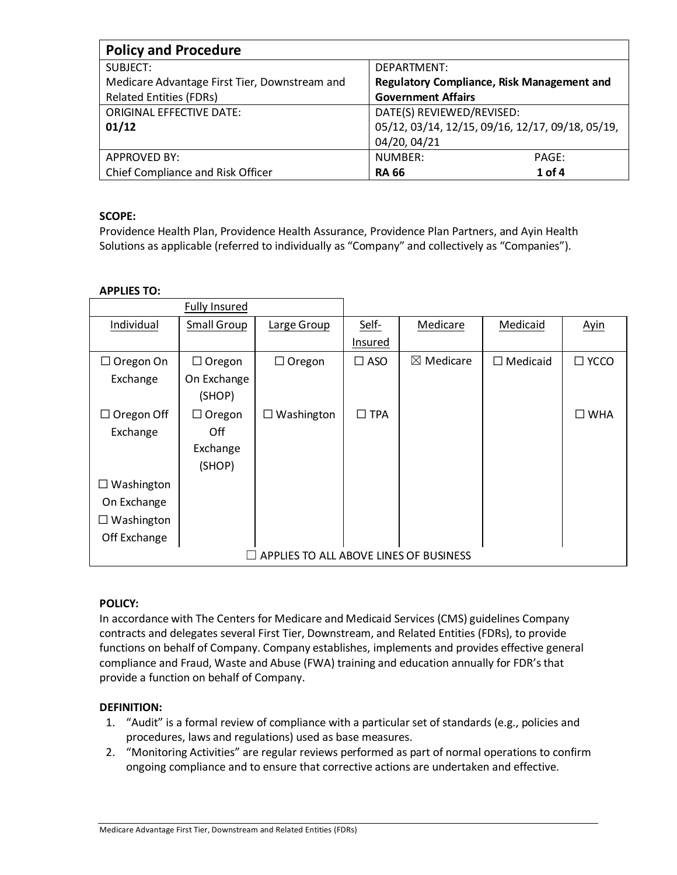| <b>Policy and Procedure</b>                   |                                                   |  |  |  |
|-----------------------------------------------|---------------------------------------------------|--|--|--|
| SUBJECT:                                      | DEPARTMENT:                                       |  |  |  |
| Medicare Advantage First Tier, Downstream and | <b>Regulatory Compliance, Risk Management and</b> |  |  |  |
| <b>Related Entities (FDRs)</b>                | <b>Government Affairs</b>                         |  |  |  |
| <b>ORIGINAL EFFECTIVE DATE:</b>               | DATE(S) REVIEWED/REVISED:                         |  |  |  |
| 01/12                                         | 05/12, 03/14, 12/15, 09/16, 12/17, 09/18, 05/19,  |  |  |  |
|                                               | 04/20, 04/21                                      |  |  |  |
| <b>APPROVED BY:</b>                           | NUMBER:<br>PAGE:                                  |  |  |  |
| Chief Compliance and Risk Officer             | $1$ of 4<br><b>RA 66</b>                          |  |  |  |

# **SCOPE:**

Providence Health Plan, Providence Health Assurance, Providence Plan Partners, and Ayin Health Solutions as applicable (referred to individually as "Company" and collectively as "Companies").

## **APPLIES TO:**

|                                        | <b>Fully Insured</b> |                 |               |                      |                 |                |
|----------------------------------------|----------------------|-----------------|---------------|----------------------|-----------------|----------------|
| Individual                             | Small Group          | Large Group     | Self-         | Medicare             | Medicaid        | Ayin           |
|                                        |                      |                 | Insured       |                      |                 |                |
| $\Box$ Oregon On                       | $\Box$ Oregon        | $\Box$ Oregon   | $\square$ ASO | $\boxtimes$ Medicare | $\Box$ Medicaid | $\square$ YCCO |
| Exchange                               | On Exchange          |                 |               |                      |                 |                |
|                                        | (SHOP)               |                 |               |                      |                 |                |
| $\Box$ Oregon Off                      | $\Box$ Oregon        | Washington<br>⊔ | $\Box$ TPA    |                      |                 | $\square$ WHA  |
| Exchange                               | Off                  |                 |               |                      |                 |                |
|                                        | Exchange             |                 |               |                      |                 |                |
|                                        | (SHOP)               |                 |               |                      |                 |                |
| $\Box$ Washington                      |                      |                 |               |                      |                 |                |
| On Exchange                            |                      |                 |               |                      |                 |                |
| Washington<br>ப                        |                      |                 |               |                      |                 |                |
| Off Exchange                           |                      |                 |               |                      |                 |                |
| APPLIES TO ALL ABOVE LINES OF BUSINESS |                      |                 |               |                      |                 |                |

## **POLICY:**

In accordance with The Centers for Medicare and Medicaid Services (CMS) guidelines Company contracts and delegates several First Tier, Downstream, and Related Entities (FDRs), to provide functions on behalf of Company. Company establishes, implements and provides effective general compliance and Fraud, Waste and Abuse (FWA) training and education annually for FDR's that provide a function on behalf of Company.

## **DEFINITION:**

- 1. "Audit" is a formal review of compliance with a particular set of standards (e.g., policies and procedures, laws and regulations) used as base measures.
- 2. "Monitoring Activities" are regular reviews performed as part of normal operations to confirm ongoing compliance and to ensure that corrective actions are undertaken and effective.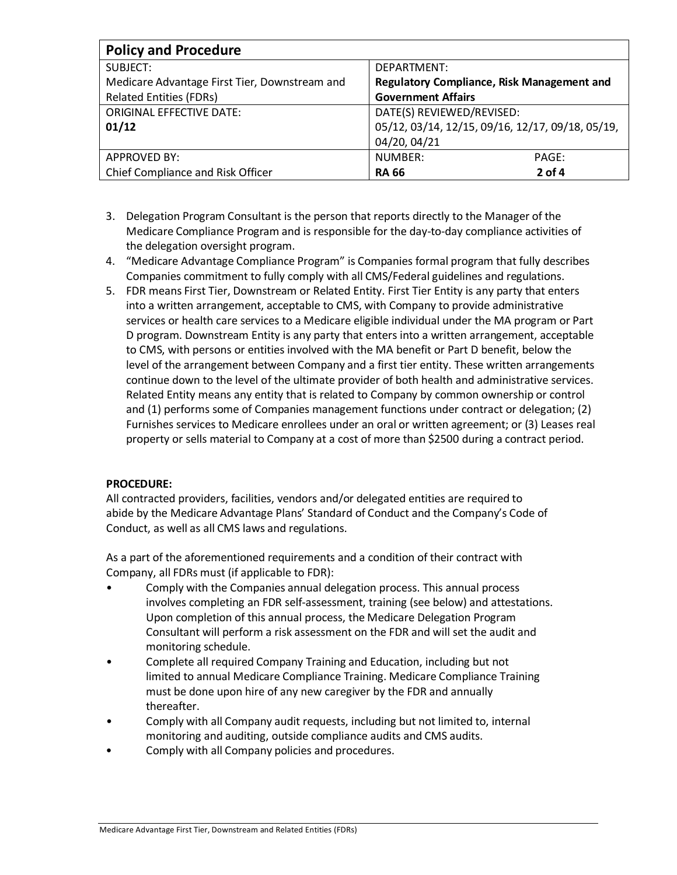| <b>Policy and Procedure</b>                   |                                                  |  |  |  |
|-----------------------------------------------|--------------------------------------------------|--|--|--|
| SUBJECT:                                      | DEPARTMENT:                                      |  |  |  |
| Medicare Advantage First Tier, Downstream and | Regulatory Compliance, Risk Management and       |  |  |  |
| <b>Related Entities (FDRs)</b>                | <b>Government Affairs</b>                        |  |  |  |
| <b>ORIGINAL EFFECTIVE DATE:</b>               | DATE(S) REVIEWED/REVISED:                        |  |  |  |
| 01/12                                         | 05/12, 03/14, 12/15, 09/16, 12/17, 09/18, 05/19, |  |  |  |
|                                               | 04/20, 04/21                                     |  |  |  |
| <b>APPROVED BY:</b>                           | NUMBER:<br>PAGE:                                 |  |  |  |
| Chief Compliance and Risk Officer             | $2$ of 4<br><b>RA 66</b>                         |  |  |  |

- 3. Delegation Program Consultant is the person that reports directly to the Manager of the Medicare Compliance Program and is responsible for the day-to-day compliance activities of the delegation oversight program.
- 4. "Medicare Advantage Compliance Program" is Companies formal program that fully describes Companies commitment to fully comply with all CMS/Federal guidelines and regulations.
- 5. FDR means First Tier, Downstream or Related Entity. First Tier Entity is any party that enters into a written arrangement, acceptable to CMS, with Company to provide administrative services or health care services to a Medicare eligible individual under the MA program or Part D program. Downstream Entity is any party that enters into a written arrangement, acceptable to CMS, with persons or entities involved with the MA benefit or Part D benefit, below the level of the arrangement between Company and a first tier entity. These written arrangements continue down to the level of the ultimate provider of both health and administrative services. Related Entity means any entity that is related to Company by common ownership or control and (1) performs some of Companies management functions under contract or delegation; (2) Furnishes services to Medicare enrollees under an oral or written agreement; or (3) Leases real property or sells material to Company at a cost of more than \$2500 during a contract period.

### **PROCEDURE:**

All contracted providers, facilities, vendors and/or delegated entities are required to abide by the Medicare Advantage Plans' Standard of Conduct and the Company's Code of Conduct, as well as all CMS laws and regulations.

As a part of the aforementioned requirements and a condition of their contract with Company, all FDRs must (if applicable to FDR):

- Comply with the Companies annual delegation process. This annual process involves completing an FDR self-assessment, training (see below) and attestations. Upon completion of this annual process, the Medicare Delegation Program Consultant will perform a risk assessment on the FDR and will set the audit and monitoring schedule.
- Complete all required Company Training and Education, including but not limited to annual Medicare Compliance Training. Medicare Compliance Training must be done upon hire of any new caregiver by the FDR and annually thereafter.
- Comply with all Company audit requests, including but not limited to, internal monitoring and auditing, outside compliance audits and CMS audits.
- Comply with all Company policies and procedures.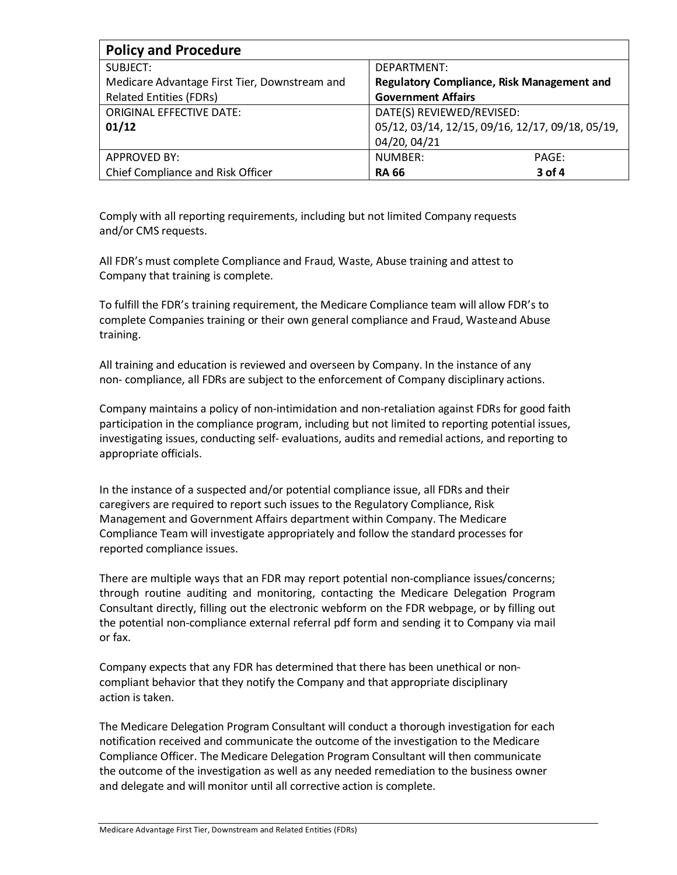| <b>Policy and Procedure</b>                   |                                                  |  |  |  |
|-----------------------------------------------|--------------------------------------------------|--|--|--|
| SUBJECT:                                      | DEPARTMENT:                                      |  |  |  |
| Medicare Advantage First Tier, Downstream and | Regulatory Compliance, Risk Management and       |  |  |  |
| <b>Related Entities (FDRs)</b>                | <b>Government Affairs</b>                        |  |  |  |
| <b>ORIGINAL EFFECTIVE DATE:</b>               | DATE(S) REVIEWED/REVISED:                        |  |  |  |
| 01/12                                         | 05/12, 03/14, 12/15, 09/16, 12/17, 09/18, 05/19, |  |  |  |
|                                               | 04/20, 04/21                                     |  |  |  |
| <b>APPROVED BY:</b>                           | NUMBER:<br>PAGE:                                 |  |  |  |
| Chief Compliance and Risk Officer             | 3 of 4<br><b>RA 66</b>                           |  |  |  |

Comply with all reporting requirements, including but not limited Company requests and/or CMS requests.

All FDR's must complete Compliance and Fraud, Waste, Abuse training and attest to Company that training is complete.

To fulfill the FDR's training requirement, the Medicare Compliance team will allow FDR's to complete Companies training or their own general compliance and Fraud, Wasteand Abuse training.

All training and education is reviewed and overseen by Company. In the instance of any non- compliance, all FDRs are subject to the enforcement of Company disciplinary actions.

Company maintains a policy of non-intimidation and non-retaliation against FDRs for good faith participation in the compliance program, including but not limited to reporting potential issues, investigating issues, conducting self- evaluations, audits and remedial actions, and reporting to appropriate officials.

In the instance of a suspected and/or potential compliance issue, all FDRs and their caregivers are required to report such issues to the Regulatory Compliance, Risk Management and Government Affairs department within Company. The Medicare Compliance Team will investigate appropriately and follow the standard processes for reported compliance issues.

There are multiple ways that an FDR may report potential non-compliance issues/concerns; through routine auditing and monitoring, contacting the Medicare Delegation Program Consultant directly, filling out the electronic webform on the FDR webpage, or by filling out the potential non-compliance external referral pdf form and sending it to Company via mail or fax.

Company expects that any FDR has determined that there has been unethical or noncompliant behavior that they notify the Company and that appropriate disciplinary action is taken.

The Medicare Delegation Program Consultant will conduct a thorough investigation for each notification received and communicate the outcome of the investigation to the Medicare Compliance Officer. The Medicare Delegation Program Consultant will then communicate the outcome of the investigation as well as any needed remediation to the business owner and delegate and will monitor until all corrective action is complete.